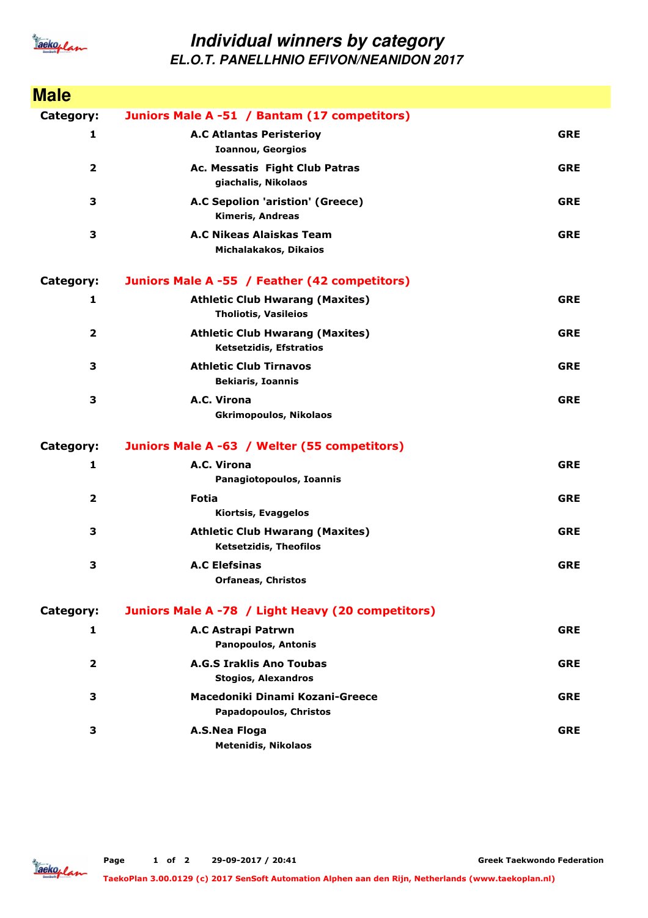

## **Individual winners by category EL.O.T. PANELLHNIO EFIVON/NEANIDON 2017**

| <b>Male</b>             |                                                                         |            |
|-------------------------|-------------------------------------------------------------------------|------------|
| Category:               | Juniors Male A -51 / Bantam (17 competitors)                            |            |
| 1                       | <b>A.C Atlantas Peristerioy</b><br><b>Ioannou, Georgios</b>             | <b>GRE</b> |
| $\overline{\mathbf{2}}$ | Ac. Messatis Fight Club Patras<br>giachalis, Nikolaos                   | <b>GRE</b> |
| 3                       | A.C Sepolion 'aristion' (Greece)<br><b>Kimeris, Andreas</b>             | <b>GRE</b> |
| 3                       | A.C Nikeas Alaiskas Team<br>Michalakakos, Dikaios                       | <b>GRE</b> |
| Category:               | Juniors Male A -55 / Feather (42 competitors)                           |            |
| 1                       | <b>Athletic Club Hwarang (Maxites)</b><br><b>Tholiotis, Vasileios</b>   | <b>GRE</b> |
| $\overline{2}$          | <b>Athletic Club Hwarang (Maxites)</b><br>Ketsetzidis, Efstratios       | <b>GRE</b> |
| 3                       | <b>Athletic Club Tirnavos</b><br><b>Bekiaris, Ioannis</b>               | <b>GRE</b> |
| 3                       | A.C. Virona<br><b>Gkrimopoulos, Nikolaos</b>                            | <b>GRE</b> |
| Category:               | Juniors Male A -63 / Welter (55 competitors)                            |            |
| 1                       | A.C. Virona<br>Panagiotopoulos, Ioannis                                 | <b>GRE</b> |
| $\overline{2}$          | Fotia<br>Kiortsis, Evaggelos                                            | <b>GRE</b> |
| 3                       | <b>Athletic Club Hwarang (Maxites)</b><br><b>Ketsetzidis, Theofilos</b> | <b>GRE</b> |
| 3                       | <b>A.C Elefsinas</b><br><b>Orfaneas, Christos</b>                       | <b>GRE</b> |
| Category:               | Juniors Male A -78 / Light Heavy (20 competitors)                       |            |
| 1                       | A.C Astrapi Patrwn<br><b>Panopoulos, Antonis</b>                        | <b>GRE</b> |
| 2                       | <b>A.G.S Iraklis Ano Toubas</b><br><b>Stogios, Alexandros</b>           | <b>GRE</b> |
| З                       | Macedoniki Dinami Kozani-Greece<br>Papadopoulos, Christos               | <b>GRE</b> |
| З                       | A.S.Nea Floga<br><b>Metenidis, Nikolaos</b>                             | <b>GRE</b> |

**Greek Taekwondo Federation**